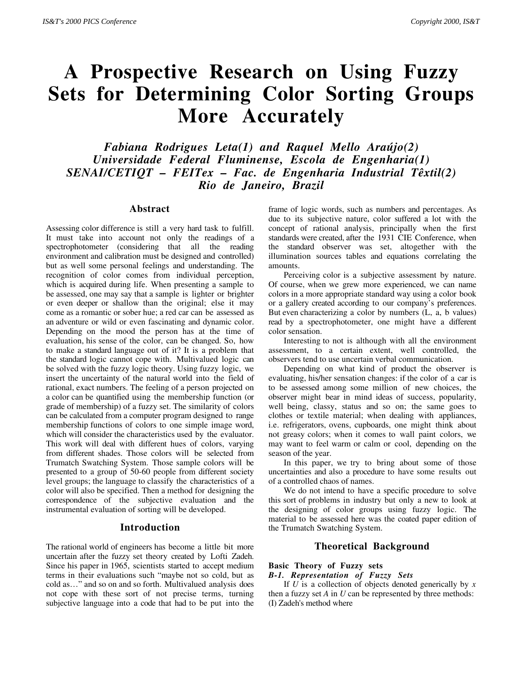# **A Prospective Research on Using Fuzzy Sets for Determining Color Sorting Groups More Accurately**

*Fabiana Rodrigues Leta(1) and Raquel Mello Araújo(2) Universidade Federal Fluminense, Escola de Engenharia(1) SENAI/CETIQT – FEITex – Fac. de Engenharia Industrial Têxtil(2) Rio de Janeiro, Brazil*

#### **Abstract**

Assessing color difference is still a very hard task to fulfill. It must take into account not only the readings of a spectrophotometer (considering that all the reading environment and calibration must be designed and controlled) but as well some personal feelings and understanding. The recognition of color comes from individual perception, which is acquired during life. When presenting a sample to be assessed, one may say that a sample is lighter or brighter or even deeper or shallow than the original; else it may come as a romantic or sober hue; a red car can be assessed as an adventure or wild or even fascinating and dynamic color. Depending on the mood the person has at the time of evaluation, his sense of the color, can be changed. So, how to make a standard language out of it? It is a problem that the standard logic cannot cope with. Multivalued logic can be solved with the fuzzy logic theory. Using fuzzy logic, we insert the uncertainty of the natural world into the field of rational, exact numbers. The feeling of a person projected on a color can be quantified using the membership function (or grade of membership) of a fuzzy set. The similarity of colors can be calculated from a computer program designed to range membership functions of colors to one simple image word, which will consider the characteristics used by the evaluator. This work will deal with different hues of colors, varying from different shades. Those colors will be selected from Trumatch Swatching System. Those sample colors will be presented to a group of 50-60 people from different society level groups; the language to classify the characteristics of a color will also be specified. Then a method for designing the correspondence of the subjective evaluation and the instrumental evaluation of sorting will be developed.

# **Introduction**

The rational world of engineers has become a little bit more uncertain after the fuzzy set theory created by Lofti Zadeh. Since his paper in 1965, scientists started to accept medium terms in their evaluations such "maybe not so cold, but as cold as…" and so on and so forth. Multivalued analysis does not cope with these sort of not precise terms, turning subjective language into a code that had to be put into the

frame of logic words, such as numbers and percentages. As due to its subjective nature, color suffered a lot with the concept of rational analysis, principally when the first standards were created, after the 1931 CIE Conference, when the standard observer was set, altogether with the illumination sources tables and equations correlating the amounts.

Perceiving color is a subjective assessment by nature. Of course, when we grew more experienced, we can name colors in a more appropriate standard way using a color book or a gallery created according to our company's preferences. But even characterizing a color by numbers (L, a, b values) read by a spectrophotometer, one might have a different color sensation.

Interesting to not is although with all the environment assessment, to a certain extent, well controlled, the observers tend to use uncertain verbal communication.

Depending on what kind of product the observer is evaluating, his/her sensation changes: if the color of a car is to be assessed among some million of new choices, the observer might bear in mind ideas of success, popularity, well being, classy, status and so on; the same goes to clothes or textile material; when dealing with appliances, i.e. refrigerators, ovens, cupboards, one might think about not greasy colors; when it comes to wall paint colors, we may want to feel warm or calm or cool, depending on the season of the year.

In this paper, we try to bring about some of those uncertainties and also a procedure to have some results out of a controlled chaos of names.

We do not intend to have a specific procedure to solve this sort of problems in industry but only a new to look at the designing of color groups using fuzzy logic. The material to be assessed here was the coated paper edition of the Trumatch Swatching System.

# **Theoretical Background**

# **Basic Theory of Fuzzy sets**

# *B-1. Representation of Fuzzy Sets*

If *U* is a collection of objects denoted generically by *x* then a fuzzy set *A* in *U* can be represented by three methods: (I) Zadeh's method where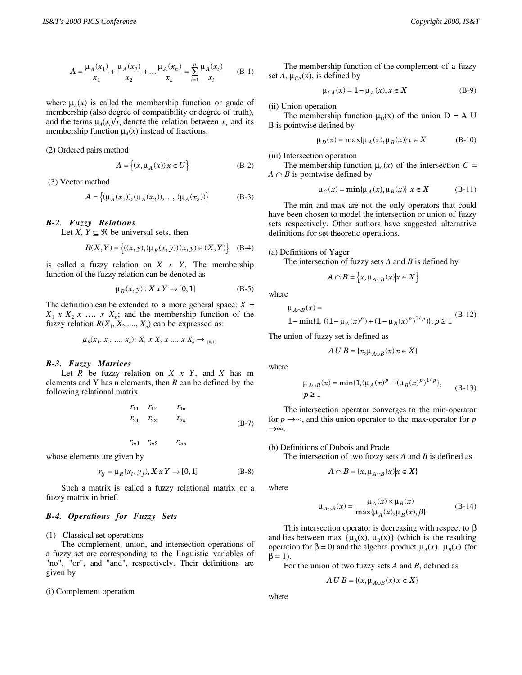$$
A = \frac{\mu_A(x_1)}{x_1} + \frac{\mu_A(x_2)}{x_2} + \dots + \frac{\mu_A(x_n)}{x_n} = \sum_{i=1}^n \frac{\mu_A(x_i)}{x_i}
$$
 (B-1)

where  $\mu_A(x)$  is called the membership function or grade of membership (also degree of compatibility or degree of truth), and the terms  $\mu_A(x_i)/x_i$  denote the relation between  $x_i$  and its membership function  $\mu_A(x)$  instead of fractions.

(2) Ordered pairs method

$$
A = \left\{ (x, \mu_A(x)) | x \in U \right\}
$$
 (B-2)

(3) Vector method

$$
A = \{ (\mu_A(x_1)), (\mu_A(x_2)), \dots, (\mu_A(x_3)) \}
$$
 (B-3)

#### *B-2. Fuzzy Relations*

Let *X*,  $Y \subseteq \Re$  be universal sets, then

$$
R(X,Y) = \{(x,y), (\mu_R(x,y)) | (x,y) \in (X,Y) \}
$$
 (B-4)

is called a fuzzy relation on *X x Y*. The membership function of the fuzzy relation can be denoted as

$$
\mu_R(x, y) : X \times Y \to [0, 1] \tag{B-5}
$$

The definition can be extended to a more general space:  $X =$  $X_1$  *x*  $X_2$  *x* … *x*  $X_n$ ; and the membership function of the fuzzy relation  $R(X_1, X_2, ..., X_n)$  can be expressed as:

$$
\mu_R(x_1, x_2, ..., x_n): X_1 \times X_2 \times ... \times X_n \to_{[0,1]}
$$

#### *B-3. Fuzzy Matrices*

Let *R* be fuzzy relation on *X x Y*, and *X* has m elements and Y has n elements, then *R* can be defined by the following relational matrix

$$
r_{11} \t r_{12} \t r_{1n} \n r_{21} \t r_{22} \t r_{2n} \n (B-7)
$$

$$
r_{m1} \quad r_{m2} \qquad \quad r_{mn}
$$

whose elements are given by

$$
r_{ij} = \mu_R(x_i, y_j), X \, x \, Y \to [0, 1] \tag{B-8}
$$

Such a matrix is called a fuzzy relational matrix or a fuzzy matrix in brief.

## *B-4. Operations for Fuzzy Sets*

(1) Classical set operations

The complement, union, and intersection operations of a fuzzy set are corresponding to the linguistic variables of "no", "or", and "and", respectively. Their definitions are given by

(i) Complement operation

The membership function of the complement of a fuzzy set *A*,  $\mu_{CA}(x)$ , is defined by

$$
\mu_{CA}(x) = 1 - \mu_A(x), x \in X
$$
 (B-9)

(ii) Union operation

The membership function  $\mu_D(x)$  of the union D = A U B is pointwise defined by

$$
\mu_D(x) = \max{\mu_A(x), \mu_B(x)}x \in X \tag{B-10}
$$

(iii) Intersection operation

The membership function  $\mu_c(x)$  of the intersection  $C =$  $A \cap B$  is pointwise defined by

$$
\mu_C(x) = \min{\{\mu_A(x), \mu_B(x)\}} \ x \in X \tag{B-11}
$$

The min and max are not the only operators that could have been chosen to model the intersection or union of fuzzy sets respectively. Other authors have suggested alternative definitions for set theoretic operations.

#### (a) Definitions of Yager

The intersection of fuzzy sets *A* and *B* is defined by

$$
A \cap B = \left\{ x, \mu_{A \cap B}(x) | x \in X \right\}
$$

where

$$
\mu_{A \cap B}(x) =
$$
  
1- min{1, ((1- $\mu_A(x)^p$ )+(1- $\mu_B(x)^p$ )<sup>1/p</sup>)}, p \ge 1 (B-12)

The union of fuzzy set is defined as

$$
A \, U \, B = \{x, \mu_{A \cup B}(x) \big| x \in X\}
$$

where

$$
\mu_{A \cup B}(x) = \min\{1, (\mu_A(x)^p + (\mu_B(x)^p)^{1/p}\},\tag{B-13}
$$

The intersection operator converges to the min-operator for  $p \rightarrow \infty$ , and this union operator to the max-operator for p →∞.

(b) Definitions of Dubois and Prade

The intersection of two fuzzy sets *A* and *B* is defined as

$$
A \cap B = \{x, \mu_{A \cap B}(x) | x \in X\}
$$

where

$$
\mu_{A \cap B}(x) = \frac{\mu_A(x) \times \mu_B(x)}{\max{\mu_A(x), \mu_B(x), \beta}}
$$
(B-14)

This intersection operator is decreasing with respect to  $\beta$ and lies between max  $\{\mu_A(x), \mu_B(x)\}$  (which is the resulting operation for β = 0) and the algebra product  $\mu_A(x)$ .  $\mu_B(x)$  (for  $\beta = 1$ ).

For the union of two fuzzy sets *A* and *B*, defined as

$$
A \, U \, B = \{ (x, \mu_{A \cup B}(x) | x \in X \}
$$

where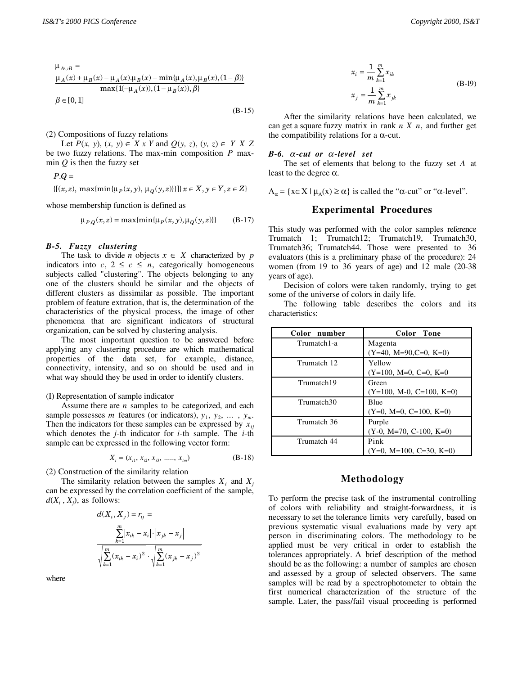$$
\mu_{A\cup B} = \n \frac{\mu_A(x) + \mu_B(x) - \mu_A(x)\mu_B(x) - \min\{\mu_A(x), \mu_B(x), (1-\beta)\}}{\max\{1(-\mu_A(x)), (1-\mu_B(x)), \beta\}}
$$
\n
$$
\beta \in [0, 1]
$$

(B-15)

(2) Compositions of fuzzy relations

Let *P*(*x*, *y*), (*x*, *y*) ∈ *X x Y* and  $Q$ (*y*, *z*), (*y*, *z*) ∈ *Y X Z* be two fuzzy relations. The max-min composition *P* maxmin  $Q$  is then the fuzzy set

 $P.Q =$ 

$$
\{[(x, z), \max\{\min\{\mu_P(x, y), \mu_Q(y, z)\}\}]\big| x \in X, y \in Y, z \in Z\}
$$

whose membership function is defined as

$$
\mu_{P,Q}(x,z) = \max\{\min\{\mu_P(x,y), \mu_Q(y,z)\}\}\tag{B-17}
$$

#### *B-5. Fuzzy clustering*

The task to divide *n* objects  $x \in X$  characterized by *p* indicators into  $c, 2 \leq c \leq n$ , categorically homogeneous subjects called "clustering". The objects belonging to any one of the clusters should be similar and the objects of different clusters as dissimilar as possible. The important problem of feature extration, that is, the determination of the characteristics of the physical process, the image of other phenomena that are significant indicators of structural organization, can be solved by clustering analysis.

The most important question to be answered before applying any clustering procedure are which mathematical properties of the data set, for example, distance, connectivity, intensity, and so on should be used and in what way should they be used in order to identify clusters.

#### (I) Representation of sample indicator

Assume there are *n* samples to be categorized, and each sample possesses *m* features (or indicators),  $y_1, y_2, \ldots, y_m$ . Then the indicators for these samples can be expressed by  $x_{ii}$ which denotes the *j*-th indicator for *i*-th sample. The *i*-th sample can be expressed in the following vector form:

$$
X_i = (x_{i1}, x_{i2}, x_{i3}, \dots, x_{im})
$$
 (B-18)

(2) Construction of the similarity relation

The similarity relation between the samples  $X_i$  and  $X_j$ can be expressed by the correlation coefficient of the sample,  $d(X_i, X_j)$ , as follows:

$$
d(X_i, X_j) = r_{ij} = \frac{\sum_{k=1}^{m} |x_{ik} - x_i| \cdot |x_{jk} - x_j|}{\sqrt{\sum_{k=1}^{m} (x_{ik} - x_i)^2} \cdot \sqrt{\sum_{k=1}^{m} (x_{jk} - x_j)^2}}
$$

where

$$
x_{i} = \frac{1}{m} \sum_{k=1}^{m} x_{ik}
$$
  

$$
x_{j} = \frac{1}{m} \sum_{k=1}^{m} x_{jk}
$$
 (B-19)

After the similarity relations have been calculated, we can get a square fuzzy matrix in rank *n X n*, and further get the compatibility relations for a  $\alpha$ -cut.

#### *B-6.* α*-cut or* α*-level set*

The set of elements that belong to the fuzzy set *A* at least to the degree  $α$ .

 $A_{\alpha} = \{x \in X \mid \mu_A(x) \ge \alpha\}$  is called the " $\alpha$ -cut" or " $\alpha$ -level".

# **Experimental Procedures**

This study was performed with the color samples reference Trumatch 1; Trumatch12; Trumatch19, Trumatch30, Trumatch36; Trumatch44. Those were presented to 36 evaluators (this is a preliminary phase of the procedure): 24 women (from 19 to 36 years of age) and 12 male (20-38 years of age).

Decision of colors were taken randomly, trying to get some of the universe of colors in daily life.

The following table describes the colors and its characteristics:

| Color number           | Color Tone                 |  |  |  |
|------------------------|----------------------------|--|--|--|
| Trumatch1-a            | Magenta                    |  |  |  |
|                        | $(Y=40, M=90, C=0, K=0)$   |  |  |  |
| Trumatch 12            | Yellow                     |  |  |  |
|                        | $(Y=100, M=0, C=0, K=0)$   |  |  |  |
| Trumatch19             | Green                      |  |  |  |
|                        | $(Y=100, M-0, C=100, K=0)$ |  |  |  |
| Trumatch <sub>30</sub> | <b>Blue</b>                |  |  |  |
|                        | $(Y=0, M=0, C=100, K=0)$   |  |  |  |
| Trumatch 36            | Purple                     |  |  |  |
|                        | $(Y-0, M=70, C-100, K=0)$  |  |  |  |
| Trumatch 44            | Pink                       |  |  |  |
|                        | $(Y=0, M=100, C=30, K=0)$  |  |  |  |

### **Methodology**

To perform the precise task of the instrumental controlling of colors with reliability and straight-forwardness, it is necessary to set the tolerance limits very carefully, based on previous systematic visual evaluations made by very apt person in discriminating colors. The methodology to be applied must be very critical in order to establish the tolerances appropriately. A brief description of the method should be as the following: a number of samples are chosen and assessed by a group of selected observers. The same samples will be read by a spectrophotometer to obtain the first numerical characterization of the structure of the sample. Later, the pass/fail visual proceeding is performed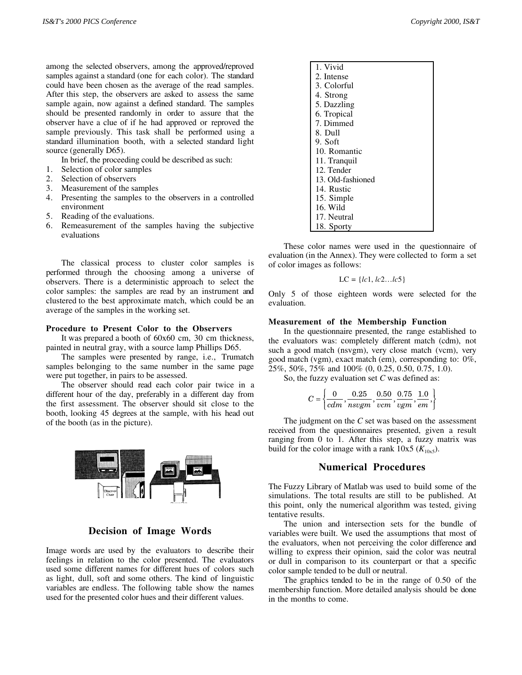among the selected observers, among the approved/reproved samples against a standard (one for each color). The standard could have been chosen as the average of the read samples. After this step, the observers are asked to assess the same sample again, now against a defined standard. The samples should be presented randomly in order to assure that the observer have a clue of if he had approved or reproved the sample previously. This task shall be performed using a standard illumination booth, with a selected standard light source (generally D65).

In brief, the proceeding could be described as such:

- 1. Selection of color samples
- 2. Selection of observers
- 3. Measurement of the samples
- 4. Presenting the samples to the observers in a controlled environment
- 5. Reading of the evaluations.
- 6. Remeasurement of the samples having the subjective evaluations

The classical process to cluster color samples is performed through the choosing among a universe of observers. There is a deterministic approach to select the color samples: the samples are read by an instrument and clustered to the best approximate match, which could be an average of the samples in the working set.

#### **Procedure to Present Color to the Observers**

It was prepared a booth of 60x60 cm, 30 cm thickness, painted in neutral gray, with a source lamp Phillips D65.

The samples were presented by range, i.e., Trumatch samples belonging to the same number in the same page were put together, in pairs to be assessed.

The observer should read each color pair twice in a different hour of the day, preferably in a different day from the first assessment. The observer should sit close to the booth, looking 45 degrees at the sample, with his head out of the booth (as in the picture).



**Decision of Image Words**

Image words are used by the evaluators to describe their feelings in relation to the color presented. The evaluators used some different names for different hues of colors such as light, dull, soft and some others. The kind of linguistic variables are endless. The following table show the names used for the presented color hues and their different values.

| 1. Vivid          |
|-------------------|
| 2. Intense        |
| 3. Colorful       |
| 4. Strong         |
| 5. Dazzling       |
| 6. Tropical       |
| 7. Dimmed         |
| 8. Dull           |
| 9. Soft           |
| 10. Romantic      |
| 11. Tranquil      |
| 12. Tender        |
| 13. Old-fashioned |
| 14. Rustic        |
| 15. Simple        |
| 16. Wild          |
| 17. Neutral       |
| 18. Sporty        |

These color names were used in the questionnaire of evaluation (in the Annex). They were collected to form a set of color images as follows:

$$
LC = \{lc1, lc2...lc5\}
$$

Only 5 of those eighteen words were selected for the evaluation.

#### **Measurement of the Membership Function**

In the questionnaire presented, the range established to the evaluators was: completely different match (cdm), not such a good match (nsvgm), very close match (vcm), very good match (vgm), exact match (em), corresponding to: 0%, 25%, 50%, 75% and 100% (0, 0.25, 0.50, 0.75, 1.0).

So, the fuzzy evaluation set *C* was defined as:

$$
C = \left\{ \frac{0}{cdm}, \frac{0.25}{nsvgm}, \frac{0.50}{vcm}, \frac{0.75}{vgm}, \frac{1.0}{em} \right\}
$$

The judgment on the *C* set was based on the assessment received from the questionnaires presented, given a result ranging from 0 to 1. After this step, a fuzzy matrix was build for the color image with a rank  $10x5$  ( $K_{10x5}$ ).

#### **Numerical Procedures**

The Fuzzy Library of Matlab was used to build some of the simulations. The total results are still to be published. At this point, only the numerical algorithm was tested, giving tentative results.

The union and intersection sets for the bundle of variables were built. We used the assumptions that most of the evaluators, when not perceiving the color difference and willing to express their opinion, said the color was neutral or dull in comparison to its counterpart or that a specific color sample tended to be dull or neutral.

The graphics tended to be in the range of 0.50 of the membership function. More detailed analysis should be done in the months to come.